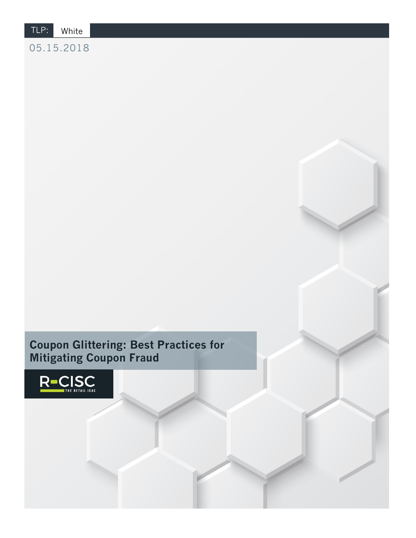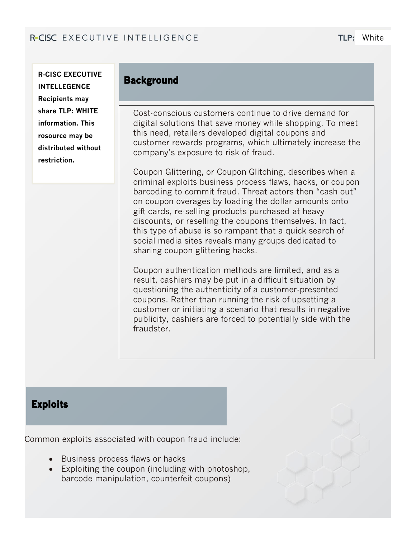**R-CISC EXECUTIVE INTELLEGENCE Recipients may share TLP: WHITE information. This rosource may be distributed without restriction.**

## **Background**

Cost-conscious customers continue to drive demand for digital solutions that save money while shopping. To meet this need, retailers developed digital coupons and customer rewards programs, which ultimately increase the company's exposure to risk of fraud.

Coupon Glittering, or Coupon Glitching, describes when a criminal exploits business process flaws, hacks, or coupon barcoding to commit fraud. Threat actors then "cash out" on coupon overages by loading the dollar amounts onto gift cards, re-selling products purchased at heavy discounts, or reselling the coupons themselves. In fact, this type of abuse is so rampant that a quick search of social media sites reveals many groups dedicated to sharing coupon glittering hacks.

Coupon authentication methods are limited, and as a result, cashiers may be put in a difficult situation by questioning the authenticity of a customer-presented coupons. Rather than running the risk of upsetting a customer or initiating a scenario that results in negative publicity, cashiers are forced to potentially side with the fraudster.

## **Exploits**

Common exploits associated with coupon fraud include:

- Business process flaws or hacks
- Exploiting the coupon (including with photoshop, barcode manipulation, counterfeit coupons)